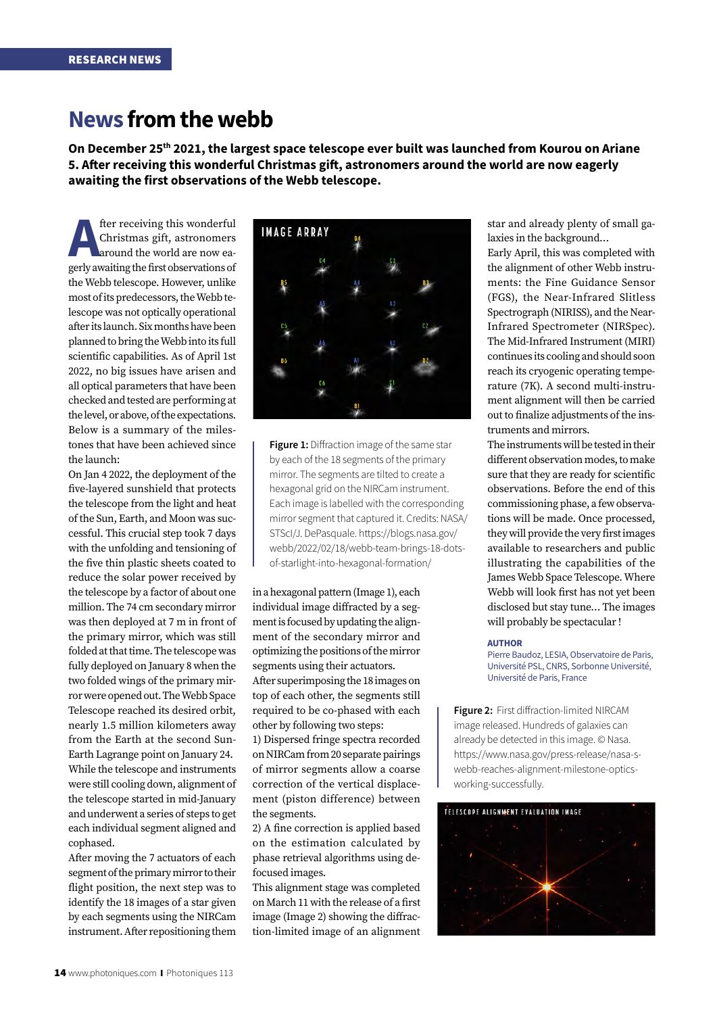# **News from the webb**

**On December 25th 2021, the largest space telescope ever built was launched from Kourou on Ariane 5. After receiving this wonderful Christmas gift, astronomers around the world are now eagerly awaiting the first observations of the Webb telescope.** 

**A**<br>**A** christmas gift, astronomers<br>around the world are now eagerly awaiting the first observations of Christmas gift, astronomers around the world are now eagerly awaiting the first observations of the Webb telescope. However, unlike most of its predecessors, the Webb telescope was not optically operational after its launch. Six months have been planned to bring the Webb into its full scientific capabilities. As of April 1st 2022, no big issues have arisen and all optical parameters that have been checked and tested are performing at the level, or above, of the expectations. Below is a summary of the milestones that have been achieved since the launch:

On Jan 4 2022, the deployment of the five-layered sunshield that protects the telescope from the light and heat of the Sun, Earth, and Moon was successful. This crucial step took 7 days with the unfolding and tensioning of the five thin plastic sheets coated to reduce the solar power received by the telescope by a factor of about one million. The 74 cm secondary mirror was then deployed at 7 m in front of the primary mirror, which was still folded at that time. The telescope was fully deployed on January 8 when the two folded wings of the primary mirror were opened out. The Webb Space Telescope reached its desired orbit, nearly 1.5 million kilometers away from the Earth at the second Sun-Earth Lagrange point on January 24. While the telescope and instruments were still cooling down, alignment of the telescope started in mid-January and underwent a series of steps to get each individual segment aligned and cophased.

After moving the 7 actuators of each segment of the primary mirror to their flight position, the next step was to identify the 18 images of a star given by each segments using the NIRCam instrument. After repositioning them



**Figure 1:** Diffraction image of the same star by each of the 18 segments of the primary mirror. The segments are tilted to create a hexagonal grid on the NIRCam instrument. Each image is labelled with the corresponding mirror segment that captured it. Credits: NASA/ STScI/J. DePasquale. https://blogs.nasa.gov/ webb/2022/02/18/webb-team-brings-18-dotsof-starlight-into-hexagonal-formation/

in a hexagonal pattern (Image 1), each individual image diffracted by a segment is focused by updating the alignment of the secondary mirror and optimizing the positions of the mirror segments using their actuators. After superimposing the 18 images on top of each other, the segments still required to be co-phased with each other by following two steps:

1) Dispersed fringe spectra recorded on NIRCam from 20 separate pairings of mirror segments allow a coarse correction of the vertical displacement (piston difference) between the segments.

2) A fine correction is applied based on the estimation calculated by phase retrieval algorithms using defocused images.

This alignment stage was completed on March 11 with the release of a first image (Image 2) showing the diffraction-limited image of an alignment star and already plenty of small galaxies in the background…

Early April, this was completed with the alignment of other Webb instruments: the Fine Guidance Sensor (FGS), the Near-Infrared Slitless Spectrograph (NIRISS), and the Near-Infrared Spectrometer (NIRSpec). The Mid-Infrared Instrument (MIRI) continues its cooling and should soon reach its cryogenic operating temperature (7K). A second multi-instrument alignment will then be carried out to finalize adjustments of the instruments and mirrors.

The instruments will be tested in their different observation modes, to make sure that they are ready for scientific observations. Before the end of this commissioning phase, a few observations will be made. Once processed, they will provide the very first images available to researchers and public illustrating the capabilities of the James Webb Space Telescope. Where Webb will look first has not yet been disclosed but stay tune… The images will probably be spectacular !

#### **AUTHOR**

Pierre Baudoz, LESIA, Observatoire de Paris, Université PSL, CNRS, Sorbonne Université, Université de Paris, France

**Figure 2:** First diffraction-limited NIRCAM image released. Hundreds of galaxies can already be detected in this image. © Nasa. https://www.nasa.gov/press-release/nasa-swebb-reaches-alignment-milestone-opticsworking-successfully.

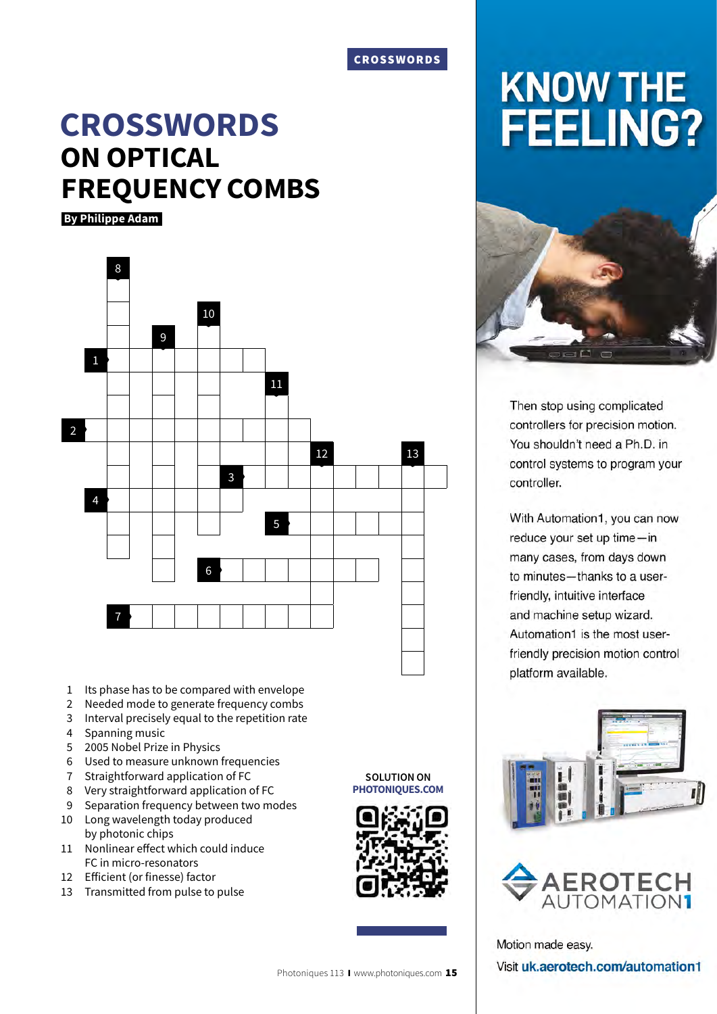### CROSSWORDS

# **CROSSWORDS ON OPTICAL FREQUENCY COMBS**

 **By Philippe Adam**



- 1 Its phase has to be compared with envelope
- 2 Needed mode to generate frequency combs
- 3 Interval precisely equal to the repetition rate
- 4 Spanning music
- 5 2005 Nobel Prize in Physics
- 6 Used to measure unknown frequencies
- 7 Straightforward application of FC
- 8 Very straightforward application of FC
- 9 Separation frequency between two modes
- 10 Long wavelength today produced by photonic chips
- 11 Nonlinear effect which could induce FC in micro-resonators
- 12 Efficient (or finesse) factor
- 13 Transmitted from pulse to pulse

**SOLUTION ON PHOTONIQUES.COM**





Then stop using complicated controllers for precision motion. You shouldn't need a Ph.D. in control systems to program your controller.

With Automation1, you can now reduce your set up time-in many cases, from days down to minutes-thanks to a userfriendly, intuitive interface and machine setup wizard. Automation1 is the most userfriendly precision motion control platform available.





Motion made easy. Visit uk.aerotech.com/automation1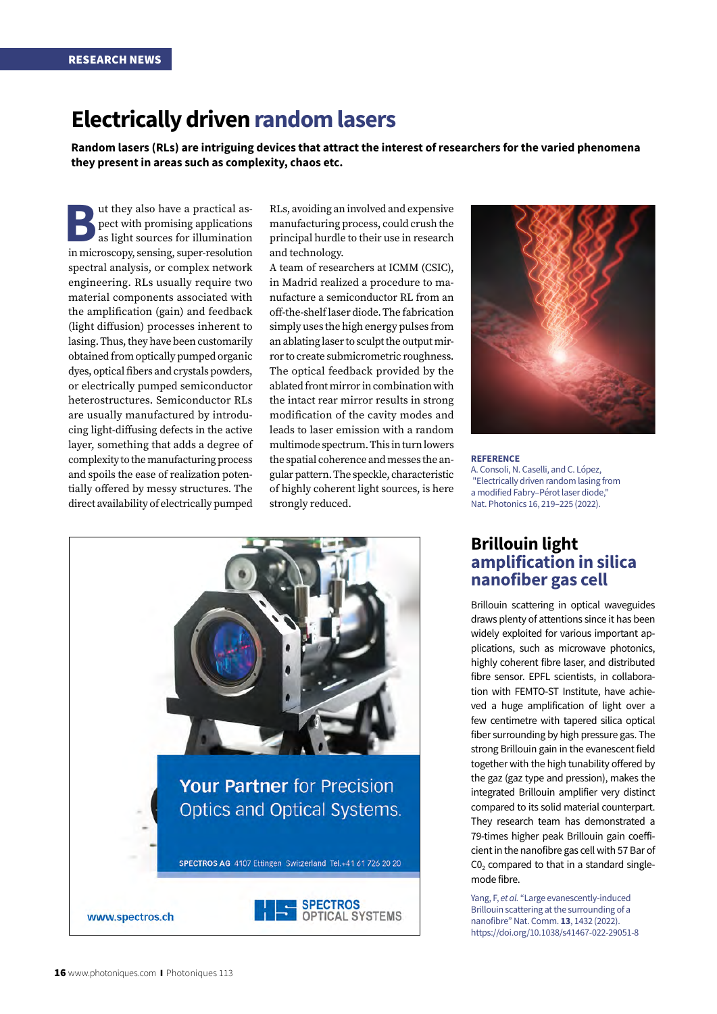# **Electrically driven random lasers**

**Random lasers (RLs) are intriguing devices that attract the interest of researchers for the varied phenomena they present in areas such as complexity, chaos etc.** 

**But they also have a practical as-<br>
pect with promising applications<br>
as light sources for illumination<br>
in microscopy sensing super-resolution** pect with promising applications as light sources for illumination in microscopy, sensing, super-resolution spectral analysis, or complex network engineering. RLs usually require two material components associated with the amplification (gain) and feedback (light diffusion) processes inherent to lasing. Thus, they have been customarily obtained from optically pumped organic dyes, optical fibers and crystals powders, or electrically pumped semiconductor heterostructures. Semiconductor RLs are usually manufactured by introducing light-diffusing defects in the active layer, something that adds a degree of complexity to the manufacturing process and spoils the ease of realization potentially offered by messy structures. The direct availability of electrically pumped

RLs, avoiding an involved and expensive manufacturing process, could crush the principal hurdle to their use in research and technology.

A team of researchers at ICMM (CSIC), in Madrid realized a procedure to manufacture a semiconductor RL from an off-the-shelf laser diode. The fabrication simply uses the high energy pulses from an ablating laser to sculpt the output mirror to create submicrometric roughness. The optical feedback provided by the ablated front mirror in combination with the intact rear mirror results in strong modification of the cavity modes and leads to laser emission with a random multimode spectrum. This in turn lowers the spatial coherence and messes the angular pattern. The speckle, characteristic of highly coherent light sources, is here strongly reduced.



#### **REFERENCE**

A. Consoli, N. Caselli, and C. López, "Electrically driven random lasing from a modified Fabry–Pérot laser diode," Nat. Photonics 16, 219–225 (2022).

## **Brillouin light amplification in silica nanofiber gas cell**

Brillouin scattering in optical waveguides draws plenty of attentions since it has been widely exploited for various important applications, such as microwave photonics, highly coherent fibre laser, and distributed fibre sensor. EPFL scientists, in collaboration with FEMTO-ST Institute, have achieved a huge amplification of light over a few centimetre with tapered silica optical fiber surrounding by high pressure gas. The strong Brillouin gain in the evanescent field together with the high tunability offered by the gaz (gaz type and pression), makes the integrated Brillouin amplifier very distinct compared to its solid material counterpart. They research team has demonstrated a 79-times higher peak Brillouin gain coefficient in the nanofibre gas cell with 57 Bar of  $CO<sub>2</sub>$  compared to that in a standard singlemode fibre.

Yang, F, *et al.* "Large evanescently-induced Brillouin scattering at the surrounding of a nanofibre" Nat. Comm. **13**, 1432 (2022). https://doi.org/10.1038/s41467-022-29051-8

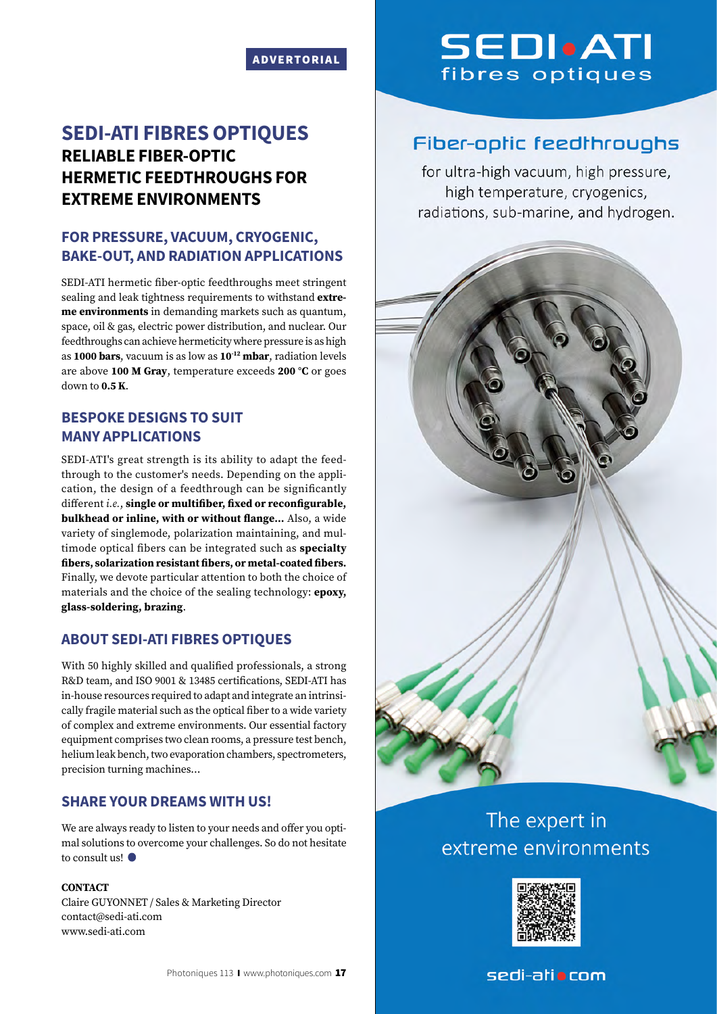### ADVERTORIAL

## **SEDI-ATI FIBRES OPTIQUES RELIABLE FIBER-OPTIC HERMETIC FEEDTHROUGHS FOR EXTREME ENVIRONMENTS**

## **FOR PRESSURE, VACUUM, CRYOGENIC, BAKE-OUT, AND RADIATION APPLICATIONS**

SEDI-ATI hermetic fiber-optic feedthroughs meet stringent sealing and leak tightness requirements to withstand **extreme environments** in demanding markets such as quantum, space, oil & gas, electric power distribution, and nuclear. Our feedthroughs can achieve hermeticity where pressure is as high as **1000 bars**, vacuum is as low as **10-12 mbar**, radiation levels are above **100 M Gray**, temperature exceeds **200 °C** or goes down to **0.5 K**.

## **BESPOKE DESIGNS TO SUIT MANY APPLICATIONS**

SEDI-ATI's great strength is its ability to adapt the feedthrough to the customer's needs. Depending on the application, the design of a feedthrough can be significantly different *i.e.*, **single or multifiber, fixed or reconfigurable, bulkhead or inline, with or without flange…** Also, a wide variety of singlemode, polarization maintaining, and multimode optical fibers can be integrated such as **specialty fibers, solarization resistant fibers, or metal-coated fibers.** Finally, we devote particular attention to both the choice of materials and the choice of the sealing technology: **epoxy, glass-soldering, brazing**.

## **ABOUT SEDI-ATI FIBRES OPTIQUES**

With 50 highly skilled and qualified professionals, a strong R&D team, and ISO 9001 & 13485 certifications, SEDI-ATI has in-house resources required to adapt and integrate an intrinsically fragile material such as the optical fiber to a wide variety of complex and extreme environments. Our essential factory equipment comprises two clean rooms, a pressure test bench, helium leak bench, two evaporation chambers, spectrometers, precision turning machines…

### **SHARE YOUR DREAMS WITH US!**

We are always ready to listen to your needs and offer you optimal solutions to overcome your challenges. So do not hesitate to consult us!

### **CONTACT**

Claire GUYONNET / Sales & Marketing Director contact@sedi-ati.com www.sedi-ati.com

# **SEDI**.ATI fibres optiques

# **Fiber-optic feedthroughs**

for ultra-high vacuum, high pressure, high temperature, cryogenics, radiations, sub-marine, and hydrogen.



# The expert in extreme environments



## sedi-atio com